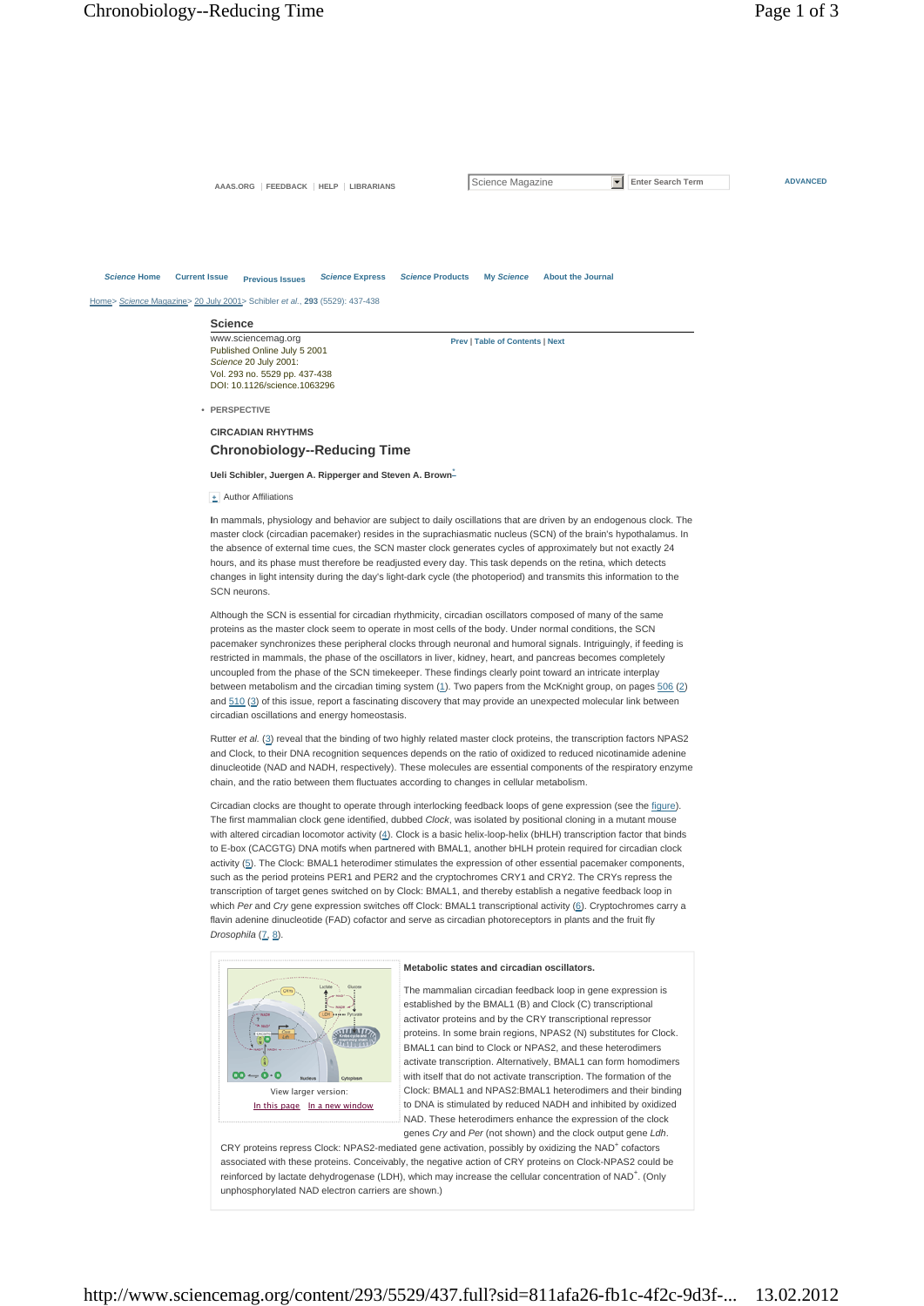AAAS.ORG FEEDBACK HELP LIBRARIANS SCIENCE Magazine **F** Enter Search Term **ADVANCED** 

#### *Science* **Home Current Issue Previous Issues** *Science* **Express** *Science* **Products My** *Science* **About the Journal**

Home> *Science* Magazine> 20 July 2001> Schibler *et al.*, **293** (5529): 437-438

**Science** www.sciencemag.org Published Online July 5 2001 *Science* 20 July 2001: Vol. 293 no. 5529 pp. 437-438 DOI: 10.1126/science.1063296

**Prev | Table of Contents | Next**

**• PERSPECTIVE**

**CIRCADIAN RHYTHMS Chronobiology--Reducing Time**

**Ueli Schibler, Juergen A. Ripperger and Steven A. Brown**\*

**+** Author Affiliations

**I**n mammals, physiology and behavior are subject to daily oscillations that are driven by an endogenous clock. The master clock (circadian pacemaker) resides in the suprachiasmatic nucleus (SCN) of the brain's hypothalamus. In the absence of external time cues, the SCN master clock generates cycles of approximately but not exactly 24 hours, and its phase must therefore be readjusted every day. This task depends on the retina, which detects changes in light intensity during the day's light-dark cycle (the photoperiod) and transmits this information to the SCN neurons.

Although the SCN is essential for circadian rhythmicity, circadian oscillators composed of many of the same proteins as the master clock seem to operate in most cells of the body. Under normal conditions, the SCN pacemaker synchronizes these peripheral clocks through neuronal and humoral signals. Intriguingly, if feeding is restricted in mammals, the phase of the oscillators in liver, kidney, heart, and pancreas becomes completely uncoupled from the phase of the SCN timekeeper. These findings clearly point toward an intricate interplay between metabolism and the circadian timing system (1). Two papers from the McKnight group, on pages 506 (2) and 510 (3) of this issue, report a fascinating discovery that may provide an unexpected molecular link between circadian oscillations and energy homeostasis.

Rutter et al. (3) reveal that the binding of two highly related master clock proteins, the transcription factors NPAS2 and Clock, to their DNA recognition sequences depends on the ratio of oxidized to reduced nicotinamide adenine dinucleotide (NAD and NADH, respectively). These molecules are essential components of the respiratory enzyme chain, and the ratio between them fluctuates according to changes in cellular metabolism.

Circadian clocks are thought to operate through interlocking feedback loops of gene expression (see the figure). The first mammalian clock gene identified, dubbed *Clock*, was isolated by positional cloning in a mutant mouse with altered circadian locomotor activity (4). Clock is a basic helix-loop-helix (bHLH) transcription factor that binds to E-box (CACGTG) DNA motifs when partnered with BMAL1, another bHLH protein required for circadian clock activity (5). The Clock: BMAL1 heterodimer stimulates the expression of other essential pacemaker components, such as the period proteins PER1 and PER2 and the cryptochromes CRY1 and CRY2. The CRYs repress the transcription of target genes switched on by Clock: BMAL1, and thereby establish a negative feedback loop in which *Per* and *Cry* gene expression switches off Clock: BMAL1 transcriptional activity (6). Cryptochromes carry a flavin adenine dinucleotide (FAD) cofactor and serve as circadian photoreceptors in plants and the fruit fly Drosophila<sup>(7, 8</sup>).



#### **Metabolic states and circadian oscillators.**

The mammalian circadian feedback loop in gene expression is established by the BMAL1 (B) and Clock (C) transcriptional activator proteins and by the CRY transcriptional repressor proteins. In some brain regions, NPAS2 (N) substitutes for Clock. BMAL1 can bind to Clock or NPAS2, and these heterodimers activate transcription. Alternatively, BMAL1 can form homodimers with itself that do not activate transcription. The formation of the Clock: BMAL1 and NPAS2:BMAL1 heterodimers and their binding to DNA is stimulated by reduced NADH and inhibited by oxidized NAD. These heterodimers enhance the expression of the clock genes *Cry* and *Per* (not shown) and the clock output gene *Ldh*.

CRY proteins repress Clock: NPAS2-mediated gene activation, possibly by oxidizing the NAD<sup>+</sup> cofactors associated with these proteins. Conceivably, the negative action of CRY proteins on Clock-NPAS2 could be reinforced by lactate dehydrogenase (LDH), which may increase the cellular concentration of NAD<sup>+</sup>. (Only unphosphorylated NAD electron carriers are shown.)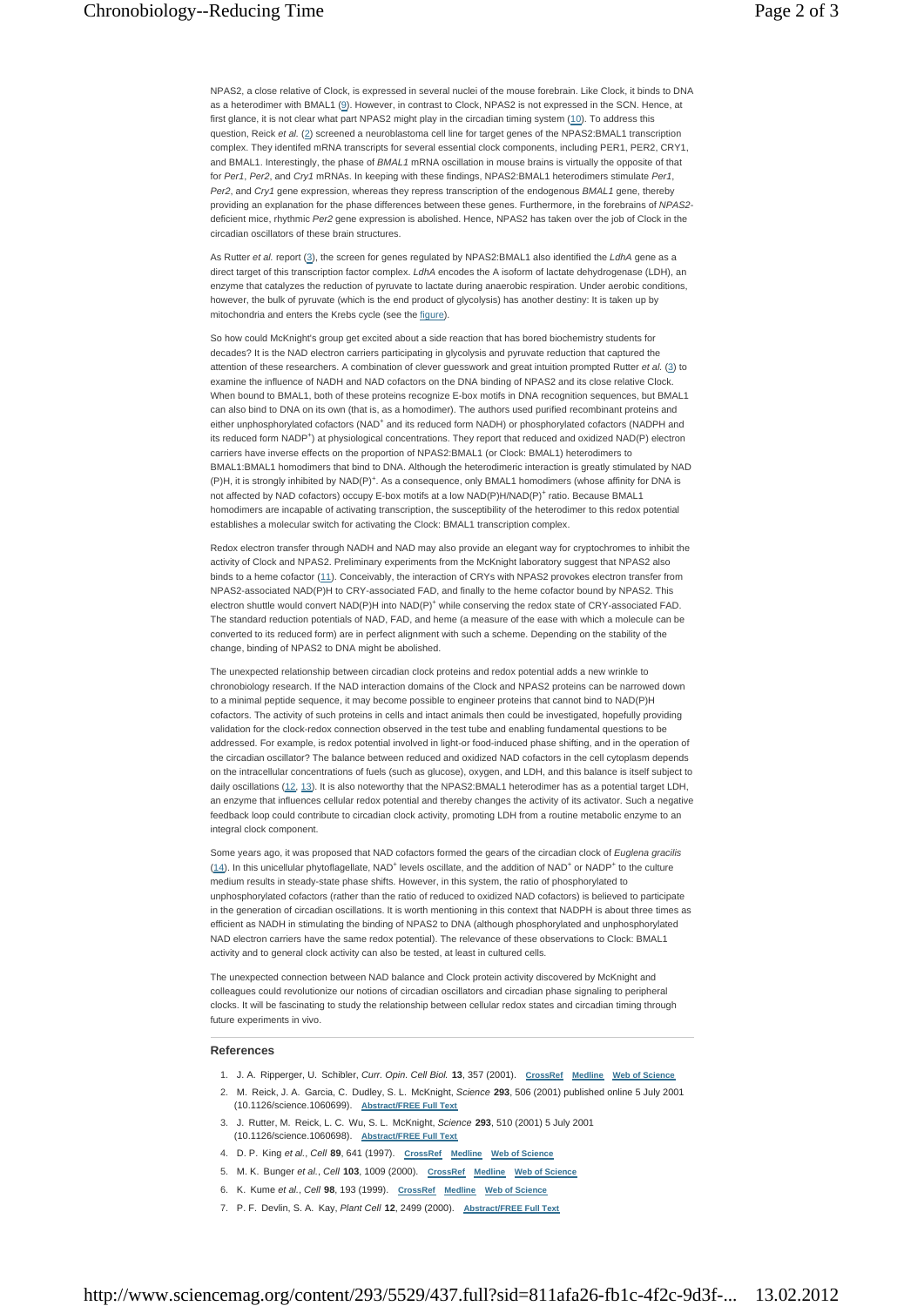NPAS2, a close relative of Clock, is expressed in several nuclei of the mouse forebrain. Like Clock, it binds to DNA as a heterodimer with BMAL1 (9). However, in contrast to Clock, NPAS2 is not expressed in the SCN. Hence, at first glance, it is not clear what part NPAS2 might play in the circadian timing system (10). To address this question, Reick et al. (2) screened a neuroblastoma cell line for target genes of the NPAS2:BMAL1 transcription complex. They identifed mRNA transcripts for several essential clock components, including PER1, PER2, CRY1, and BMAL1. Interestingly, the phase of *BMAL1* mRNA oscillation in mouse brains is virtually the opposite of that for *Per1*, *Per2*, and *Cry1* mRNAs. In keeping with these findings, NPAS2:BMAL1 heterodimers stimulate *Per1*, *Per2*, and *Cry1* gene expression, whereas they repress transcription of the endogenous *BMAL1* gene, thereby providing an explanation for the phase differences between these genes. Furthermore, in the forebrains of *NPAS2* deficient mice, rhythmic *Per2* gene expression is abolished. Hence, NPAS2 has taken over the job of Clock in the circadian oscillators of these brain structures.

As Rutter *et al.* report (3), the screen for genes regulated by NPAS2:BMAL1 also identified the *LdhA* gene as a direct target of this transcription factor complex. *LdhA* encodes the A isoform of lactate dehydrogenase (LDH), an enzyme that catalyzes the reduction of pyruvate to lactate during anaerobic respiration. Under aerobic conditions, however, the bulk of pyruvate (which is the end product of glycolysis) has another destiny: It is taken up by mitochondria and enters the Krebs cycle (see the figure).

So how could McKnight's group get excited about a side reaction that has bored biochemistry students for decades? It is the NAD electron carriers participating in glycolysis and pyruvate reduction that captured the attention of these researchers. A combination of clever guesswork and great intuition prompted Rutter *et al.* (3) to examine the influence of NADH and NAD cofactors on the DNA binding of NPAS2 and its close relative Clock. When bound to BMAL1, both of these proteins recognize E-box motifs in DNA recognition sequences, but BMAL1 can also bind to DNA on its own (that is, as a homodimer). The authors used purified recombinant proteins and either unphosphorylated cofactors (NAD<sup>+</sup> and its reduced form NADH) or phosphorylated cofactors (NADPH and its reduced form NADP<sup>+</sup>) at physiological concentrations. They report that reduced and oxidized NAD(P) electron carriers have inverse effects on the proportion of NPAS2:BMAL1 (or Clock: BMAL1) heterodimers to BMAL1:BMAL1 homodimers that bind to DNA. Although the heterodimeric interaction is greatly stimulated by NAD (P)H, it is strongly inhibited by NAD(P)<sup>+</sup>. As a consequence, only BMAL1 homodimers (whose affinity for DNA is not affected by NAD cofactors) occupy E-box motifs at a low NAD(P)H/NAD(P)<sup>+</sup> ratio. Because BMAL1 homodimers are incapable of activating transcription, the susceptibility of the heterodimer to this redox potential establishes a molecular switch for activating the Clock: BMAL1 transcription complex.

Redox electron transfer through NADH and NAD may also provide an elegant way for cryptochromes to inhibit the activity of Clock and NPAS2. Preliminary experiments from the McKnight laboratory suggest that NPAS2 also binds to a heme cofactor (11). Conceivably, the interaction of CRYs with NPAS2 provokes electron transfer from NPAS2-associated NAD(P)H to CRY-associated FAD, and finally to the heme cofactor bound by NPAS2. This electron shuttle would convert NAD(P)H into NAD(P)<sup>+</sup> while conserving the redox state of CRY-associated FAD. The standard reduction potentials of NAD, FAD, and heme (a measure of the ease with which a molecule can be converted to its reduced form) are in perfect alignment with such a scheme. Depending on the stability of the change, binding of NPAS2 to DNA might be abolished.

The unexpected relationship between circadian clock proteins and redox potential adds a new wrinkle to chronobiology research. If the NAD interaction domains of the Clock and NPAS2 proteins can be narrowed down to a minimal peptide sequence, it may become possible to engineer proteins that cannot bind to NAD(P)H cofactors. The activity of such proteins in cells and intact animals then could be investigated, hopefully providing validation for the clock-redox connection observed in the test tube and enabling fundamental questions to be addressed. For example, is redox potential involved in light-or food-induced phase shifting, and in the operation of the circadian oscillator? The balance between reduced and oxidized NAD cofactors in the cell cytoplasm depends on the intracellular concentrations of fuels (such as glucose), oxygen, and LDH, and this balance is itself subject to daily oscillations (12, 13). It is also noteworthy that the NPAS2:BMAL1 heterodimer has as a potential target LDH, an enzyme that influences cellular redox potential and thereby changes the activity of its activator. Such a negative feedback loop could contribute to circadian clock activity, promoting LDH from a routine metabolic enzyme to an integral clock component.

Some years ago, it was proposed that NAD cofactors formed the gears of the circadian clock of *Euglena gracilis*  $(14)$ . In this unicellular phytoflagellate, NAD<sup>+</sup> levels oscillate, and the addition of NAD<sup>+</sup> or NADP<sup>+</sup> to the culture medium results in steady-state phase shifts. However, in this system, the ratio of phosphorylated to unphosphorylated cofactors (rather than the ratio of reduced to oxidized NAD cofactors) is believed to participate in the generation of circadian oscillations. It is worth mentioning in this context that NADPH is about three times as efficient as NADH in stimulating the binding of NPAS2 to DNA (although phosphorylated and unphosphorylated NAD electron carriers have the same redox potential). The relevance of these observations to Clock: BMAL1 activity and to general clock activity can also be tested, at least in cultured cells.

The unexpected connection between NAD balance and Clock protein activity discovered by McKnight and colleagues could revolutionize our notions of circadian oscillators and circadian phase signaling to peripheral clocks. It will be fascinating to study the relationship between cellular redox states and circadian timing through future experiments in vivo.

### **References**

- 1. J. A. Ripperger, U. Schibler, *Curr. Opin. Cell Biol.* **13**, 357 (2001). **CrossRef Medline Web of Science**
- 2. M. Reick, J. A. Garcia, C. Dudley, S. L. McKnight, Science 293, 506 (2001) published online 5 July 2001 (10.1126/science.1060699). **Abstract/FREE Full Text**
- J. Rutter, M. Reick, L. C. Wu, S. L. McKnight, *Science* **293**, 510 (2001) 5 July 2001 3. (10.1126/science.1060698). **Abstract/FREE Full Text**
- 4. D. P. King *et al.*, *Cell* **89**, 641 (1997). **CrossRef Medline Web of Science**
- 5. M. K. Bunger *et al.*, *Cell* **103**, 1009 (2000). **CrossRef Medline Web of Science**
- 6. K. Kume *et al.*, *Cell* **98**, 193 (1999). **CrossRef Medline Web of Science**
- 7. P. F. Devlin, S. A. Kay, *Plant Cell* **12**, 2499 (2000). **Abstract/FREE Full Text**